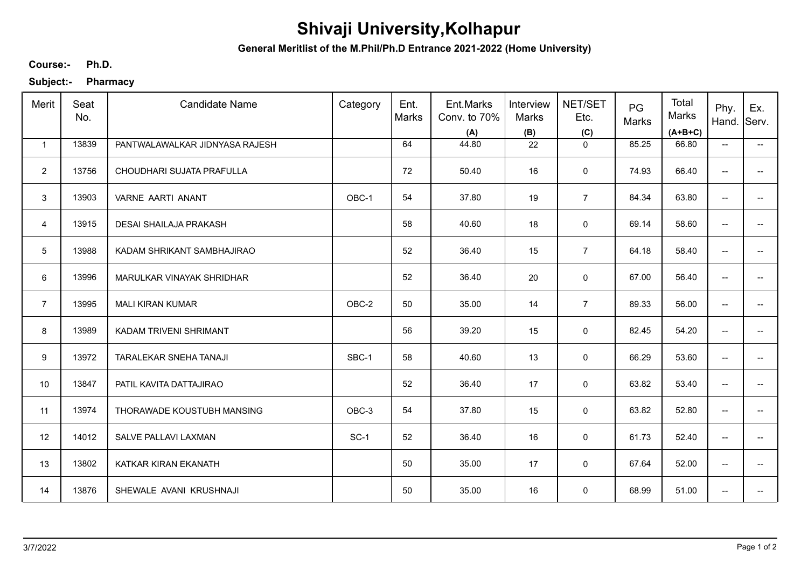## **Shivaji University,Kolhapur**

**General Meritlist of the M.Phil/Ph.D Entrance 2021-2022 (Home University)**

**Ph.D. Course:-**

**Subject:- Pharmacy**

| Merit           | Seat<br>No. | <b>Candidate Name</b>          | Category | Ent.<br>Marks | Ent.Marks<br>Conv. to 70%<br>(A) | Interview<br>Marks<br>(B) | NET/SET<br>Etc.<br>(C) | PG<br>Marks | Total<br>Marks<br>$(A+B+C)$ | Phy.<br>Hand.            | Ex.<br>Serv.             |
|-----------------|-------------|--------------------------------|----------|---------------|----------------------------------|---------------------------|------------------------|-------------|-----------------------------|--------------------------|--------------------------|
| $\mathbf{1}$    | 13839       | PANTWALAWALKAR JIDNYASA RAJESH |          | 64            | 44.80                            | 22                        | $\mathbf 0$            | 85.25       | 66.80                       | $\overline{\phantom{a}}$ | $\overline{\phantom{a}}$ |
| $\overline{2}$  | 13756       | CHOUDHARI SUJATA PRAFULLA      |          | 72            | 50.40                            | 16                        | 0                      | 74.93       | 66.40                       | $\overline{\phantom{a}}$ |                          |
| 3               | 13903       | VARNE AARTI ANANT              | OBC-1    | 54            | 37.80                            | 19                        | $\overline{7}$         | 84.34       | 63.80                       | $\overline{\phantom{a}}$ | --                       |
| $\overline{4}$  | 13915       | DESAI SHAILAJA PRAKASH         |          | 58            | 40.60                            | 18                        | 0                      | 69.14       | 58.60                       | $\overline{\phantom{a}}$ | --                       |
| $5\phantom{.0}$ | 13988       | KADAM SHRIKANT SAMBHAJIRAO     |          | 52            | 36.40                            | 15                        | $\overline{7}$         | 64.18       | 58.40                       | $\overline{\phantom{a}}$ | $\overline{\phantom{a}}$ |
| 6               | 13996       | MARULKAR VINAYAK SHRIDHAR      |          | 52            | 36.40                            | 20                        | 0                      | 67.00       | 56.40                       | $\overline{\phantom{a}}$ | --                       |
| $\overline{7}$  | 13995       | <b>MALI KIRAN KUMAR</b>        | OBC-2    | 50            | 35.00                            | 14                        | $\overline{7}$         | 89.33       | 56.00                       | $\overline{\phantom{a}}$ | --                       |
| 8               | 13989       | KADAM TRIVENI SHRIMANT         |          | 56            | 39.20                            | 15                        | 0                      | 82.45       | 54.20                       | $\overline{\phantom{m}}$ | $\overline{\phantom{a}}$ |
| 9               | 13972       | TARALEKAR SNEHA TANAJI         | SBC-1    | 58            | 40.60                            | 13                        | $\mathbf 0$            | 66.29       | 53.60                       | $\overline{\phantom{a}}$ |                          |
| 10              | 13847       | PATIL KAVITA DATTAJIRAO        |          | 52            | 36.40                            | 17                        | $\mathbf 0$            | 63.82       | 53.40                       | $\overline{\phantom{a}}$ |                          |
| 11              | 13974       | THORAWADE KOUSTUBH MANSING     | OBC-3    | 54            | 37.80                            | 15                        | $\mathsf 0$            | 63.82       | 52.80                       | ÷                        |                          |
| 12              | 14012       | SALVE PALLAVI LAXMAN           | $SC-1$   | 52            | 36.40                            | 16                        | 0                      | 61.73       | 52.40                       | $\overline{\phantom{a}}$ | --                       |
| 13              | 13802       | KATKAR KIRAN EKANATH           |          | 50            | 35.00                            | 17                        | $\mathbf 0$            | 67.64       | 52.00                       | $\overline{\phantom{a}}$ | $\overline{\phantom{a}}$ |
| 14              | 13876       | SHEWALE AVANI KRUSHNAJI        |          | 50            | 35.00                            | 16                        | 0                      | 68.99       | 51.00                       | $\overline{\phantom{a}}$ | --                       |